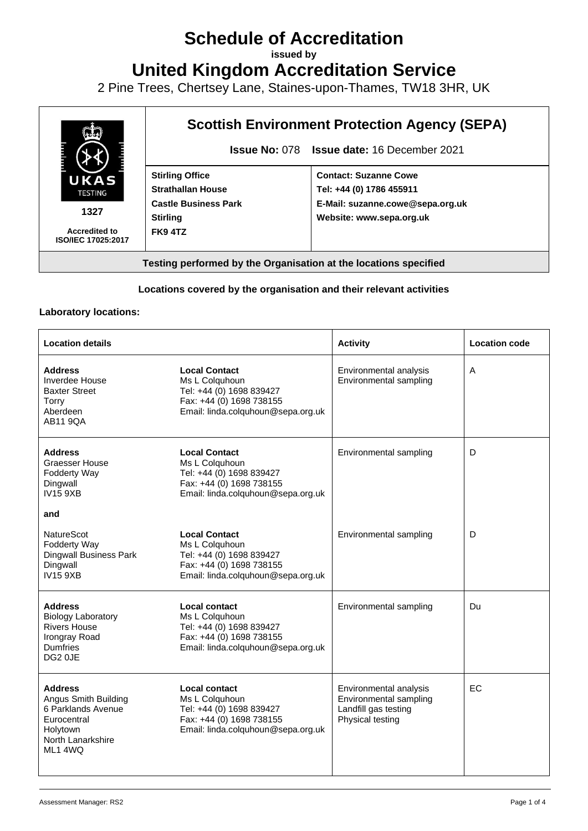# **Schedule of Accreditation**

**issued by**

**United Kingdom Accreditation Service**

2 Pine Trees, Chertsey Lane, Staines-upon-Thames, TW18 3HR, UK



### **Locations covered by the organisation and their relevant activities**

#### **Laboratory locations:**

| <b>Location details</b>                                                                                                 |                                                                                                                                      | <b>Activity</b>                                                                              | <b>Location code</b> |
|-------------------------------------------------------------------------------------------------------------------------|--------------------------------------------------------------------------------------------------------------------------------------|----------------------------------------------------------------------------------------------|----------------------|
| <b>Address</b><br>Inverdee House<br><b>Baxter Street</b><br>Torry<br>Aberdeen<br>AB11 9QA                               | <b>Local Contact</b><br>Ms L Colquhoun<br>Tel: +44 (0) 1698 839427<br>Fax: +44 (0) 1698 738155<br>Email: linda.colquhoun@sepa.org.uk | Environmental analysis<br>Environmental sampling                                             | A                    |
| <b>Address</b><br><b>Graesser House</b><br>Fodderty Way<br>Dingwall<br><b>IV15 9XB</b>                                  | <b>Local Contact</b><br>Ms L Colquhoun<br>Tel: +44 (0) 1698 839427<br>Fax: +44 (0) 1698 738155<br>Email: linda.colquhoun@sepa.org.uk | Environmental sampling                                                                       | D                    |
| and                                                                                                                     |                                                                                                                                      |                                                                                              |                      |
| <b>NatureScot</b><br>Fodderty Way<br><b>Dingwall Business Park</b><br>Dingwall<br><b>IV15 9XB</b>                       | <b>Local Contact</b><br>Ms L Colquhoun<br>Tel: +44 (0) 1698 839427<br>Fax: +44 (0) 1698 738155<br>Email: linda.colquhoun@sepa.org.uk | Environmental sampling                                                                       | D                    |
| <b>Address</b><br><b>Biology Laboratory</b><br><b>Rivers House</b><br>Irongray Road<br>Dumfries<br>DG <sub>2</sub> 0JE  | <b>Local contact</b><br>Ms L Colquhoun<br>Tel: +44 (0) 1698 839427<br>Fax: +44 (0) 1698 738155<br>Email: linda.colquhoun@sepa.org.uk | Environmental sampling                                                                       | Du                   |
| <b>Address</b><br>Angus Smith Building<br>6 Parklands Avenue<br>Eurocentral<br>Holytown<br>North Lanarkshire<br>ML1 4WQ | Local contact<br>Ms L Colquhoun<br>Tel: +44 (0) 1698 839427<br>Fax: +44 (0) 1698 738155<br>Email: linda.colquhoun@sepa.org.uk        | Environmental analysis<br>Environmental sampling<br>Landfill gas testing<br>Physical testing | <b>EC</b>            |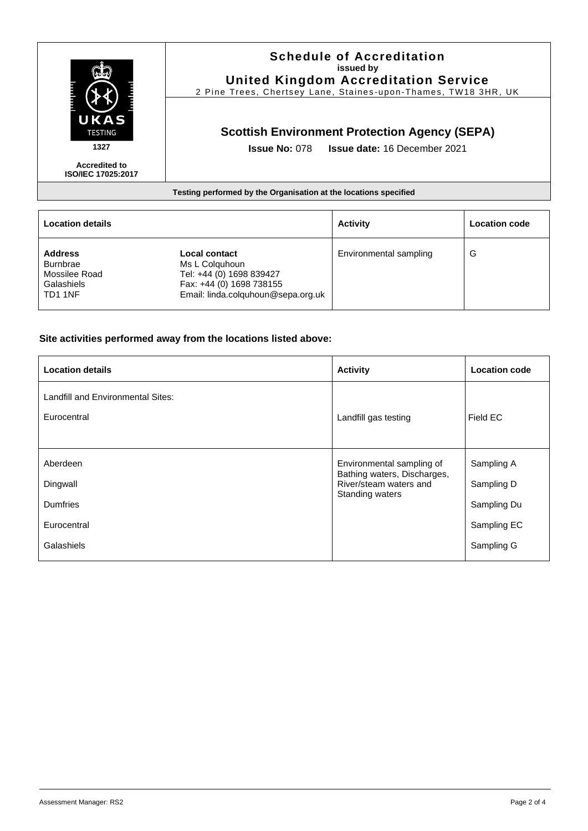

**Accredited to ISO/IEC 17025:2017**

### **Schedule of Accreditation issued by United Kingdom Accreditation Service**

2 Pine Trees, Chertsey Lane, Staines -upon -Thames, TW18 3HR, UK

# **Scottish Environment Protection Agency (SEPA)**

**Issue No:** 078 **Issue date:** 16 December 2021

#### **Testing performed by the Organisation at the locations specified**

| <b>Location details</b>                                                     |                                                                                                                                      | <b>Activity</b>        | <b>Location code</b> |
|-----------------------------------------------------------------------------|--------------------------------------------------------------------------------------------------------------------------------------|------------------------|----------------------|
| <b>Address</b><br><b>Burnbrae</b><br>Mossilee Road<br>Galashiels<br>TD1 1NF | <b>Local contact</b><br>Ms L Colguhoun<br>Tel: +44 (0) 1698 839427<br>Fax: +44 (0) 1698 738155<br>Email: linda.colquhoun@sepa.org.uk | Environmental sampling | G                    |

#### **Site activities performed away from the locations listed above:**

| <b>Location details</b>                  | <b>Activity</b>                                       | <b>Location code</b> |
|------------------------------------------|-------------------------------------------------------|----------------------|
| <b>Landfill and Environmental Sites:</b> |                                                       |                      |
| Eurocentral                              | Landfill gas testing                                  | Field EC             |
| Aberdeen                                 | Environmental sampling of                             | Sampling A           |
| Dingwall                                 | Bathing waters, Discharges,<br>River/steam waters and | Sampling D           |
| Dumfries                                 | Standing waters                                       | Sampling Du          |
| Eurocentral                              |                                                       | Sampling EC          |
| Galashiels                               |                                                       | Sampling G           |
|                                          |                                                       |                      |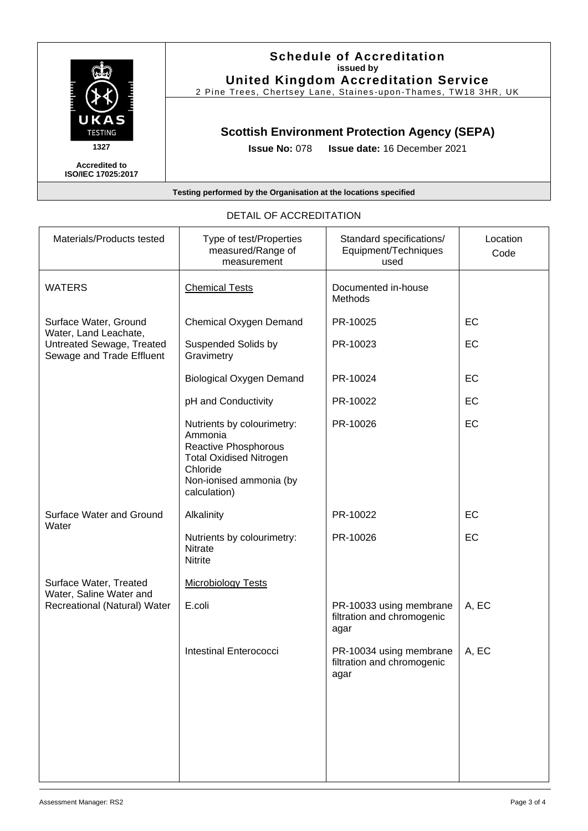

**Accredited to ISO/IEC 17025:2017**

### **Schedule of Accreditation issued by United Kingdom Accreditation Service**

2 Pine Trees, Chertsey Lane, Staines-upon-Thames, TW18 3HR, UK

# **Scottish Environment Protection Agency (SEPA)**

**Issue No:** 078 **Issue date:** 16 December 2021

#### **Testing performed by the Organisation at the locations specified**

| Materials/Products tested                                                                                | Type of test/Properties<br>measured/Range of<br>measurement                                                                                            | Standard specifications/<br>Equipment/Techniques<br>used      | Location<br>Code |
|----------------------------------------------------------------------------------------------------------|--------------------------------------------------------------------------------------------------------------------------------------------------------|---------------------------------------------------------------|------------------|
| <b>WATERS</b>                                                                                            | <b>Chemical Tests</b>                                                                                                                                  | Documented in-house<br><b>Methods</b>                         |                  |
| Surface Water, Ground<br>Water, Land Leachate,<br>Untreated Sewage, Treated<br>Sewage and Trade Effluent | <b>Chemical Oxygen Demand</b>                                                                                                                          | PR-10025                                                      | EC               |
|                                                                                                          | Suspended Solids by<br>Gravimetry                                                                                                                      | PR-10023                                                      | EC               |
|                                                                                                          | <b>Biological Oxygen Demand</b>                                                                                                                        | PR-10024                                                      | EC               |
|                                                                                                          | pH and Conductivity                                                                                                                                    | PR-10022                                                      | EC               |
|                                                                                                          | Nutrients by colourimetry:<br>Ammonia<br>Reactive Phosphorous<br><b>Total Oxidised Nitrogen</b><br>Chloride<br>Non-ionised ammonia (by<br>calculation) | PR-10026                                                      | EC               |
| Surface Water and Ground                                                                                 | Alkalinity                                                                                                                                             | PR-10022                                                      | EC               |
| Water                                                                                                    | Nutrients by colourimetry:<br><b>Nitrate</b><br>Nitrite                                                                                                | PR-10026                                                      | EC               |
| Surface Water, Treated<br>Water, Saline Water and                                                        | <b>Microbiology Tests</b>                                                                                                                              |                                                               |                  |
| Recreational (Natural) Water                                                                             | E.coli                                                                                                                                                 | PR-10033 using membrane<br>filtration and chromogenic<br>agar | A, EC            |
|                                                                                                          | Intestinal Enterococci                                                                                                                                 | PR-10034 using membrane<br>filtration and chromogenic<br>agar | A, EC            |
|                                                                                                          |                                                                                                                                                        |                                                               |                  |

## DETAIL OF ACCREDITATION

T